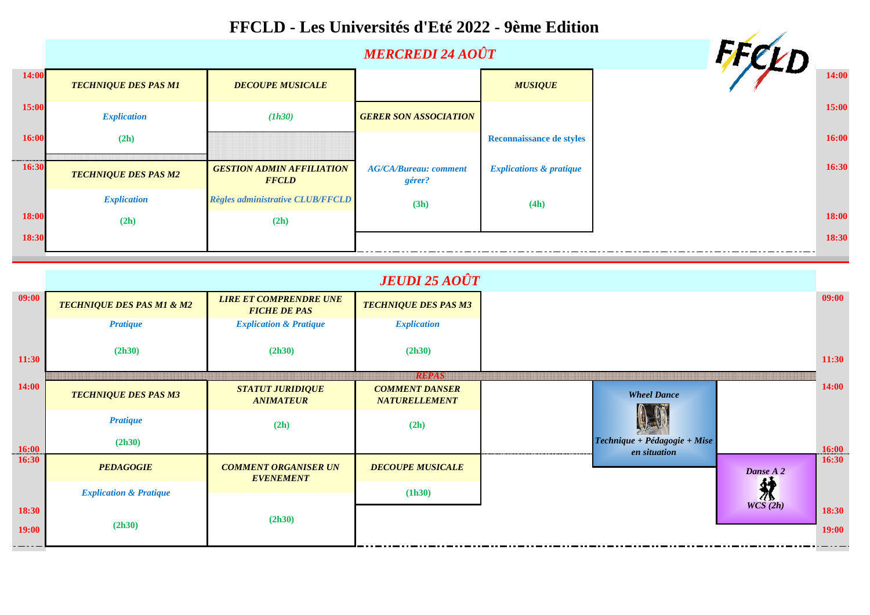

|       |                             |                                                  |                                        |                                    | $\sim$ |       |
|-------|-----------------------------|--------------------------------------------------|----------------------------------------|------------------------------------|--------|-------|
| 14:00 | <b>TECHNIQUE DES PAS M1</b> | <b>DECOUPE MUSICALE</b>                          |                                        | <b>MUSIQUE</b>                     |        | 14:00 |
| 15:00 | <b>Explication</b>          | (1h30)                                           | <b>GERER SON ASSOCIATION</b>           |                                    |        | 15:00 |
| 16:00 | (2h)                        |                                                  |                                        | <b>Reconnaissance de styles</b>    |        | 16:00 |
| 16:30 | <b>TECHNIQUE DES PAS M2</b> | <b>GESTION ADMIN AFFILIATION</b><br><b>FFCLD</b> | <b>AG/CA/Bureau: comment</b><br>gérer? | <b>Explications &amp; pratique</b> |        | 16:30 |
|       | <b>Explication</b>          | Règles administrative CLUB/FFCLD                 | (3h)                                   | (4h)                               |        |       |
| 18:00 | (2h)                        | (2h)                                             |                                        |                                    |        | 18:00 |
| 18:30 |                             |                                                  |                                        |                                    |        | 18:30 |

|                | <b>JEUDI 25 AOÛT</b>                 |                                                      |                                               |                                                |           |                |
|----------------|--------------------------------------|------------------------------------------------------|-----------------------------------------------|------------------------------------------------|-----------|----------------|
| 09:00          | <b>TECHNIQUE DES PAS M1 &amp; M2</b> | <b>LIRE ET COMPRENDRE UNE</b><br><b>FICHE DE PAS</b> | <b>TECHNIQUE DES PAS M3</b>                   |                                                |           | 09:00          |
|                | <b>Pratique</b>                      | <b>Explication &amp; Pratique</b>                    | <b>Explication</b>                            |                                                |           |                |
| 11:30          | (2h30)                               | (2h30)                                               | (2h30)<br><b>RUAN</b>                         |                                                |           | 11:30          |
| 14:00          | <b>TECHNIQUE DES PAS M3</b>          | <b>STATUT JURIDIQUE</b><br><b>ANIMATEUR</b>          | <b>COMMENT DANSER</b><br><b>NATURELLEMENT</b> | <b>Wheel Dance</b>                             |           | 14:00          |
|                | <b>Pratique</b>                      | (2h)                                                 | (2h)                                          |                                                |           |                |
| 16:00          | (2h30)                               |                                                      |                                               | $Technique + Pédagogie + Mise$<br>en situation |           | 16:00          |
| 16:30          | <b>PEDAGOGIE</b>                     | <b>COMMENT ORGANISER UN</b><br><b>EVENEMENT</b>      | <b>DECOUPE MUSICALE</b>                       |                                                | Danse A 2 | 16:30          |
|                | <b>Explication &amp; Pratique</b>    |                                                      | (1h30)                                        |                                                | 然         |                |
| 18:30<br>19:00 | (2h30)                               | (2h30)                                               |                                               |                                                | WCS(2h)   | 18:30<br>19:00 |

## **FFCLD - Les Universités d'Eté 2022 - 9ème Edition**

*MERCREDI 24 AOÛT*